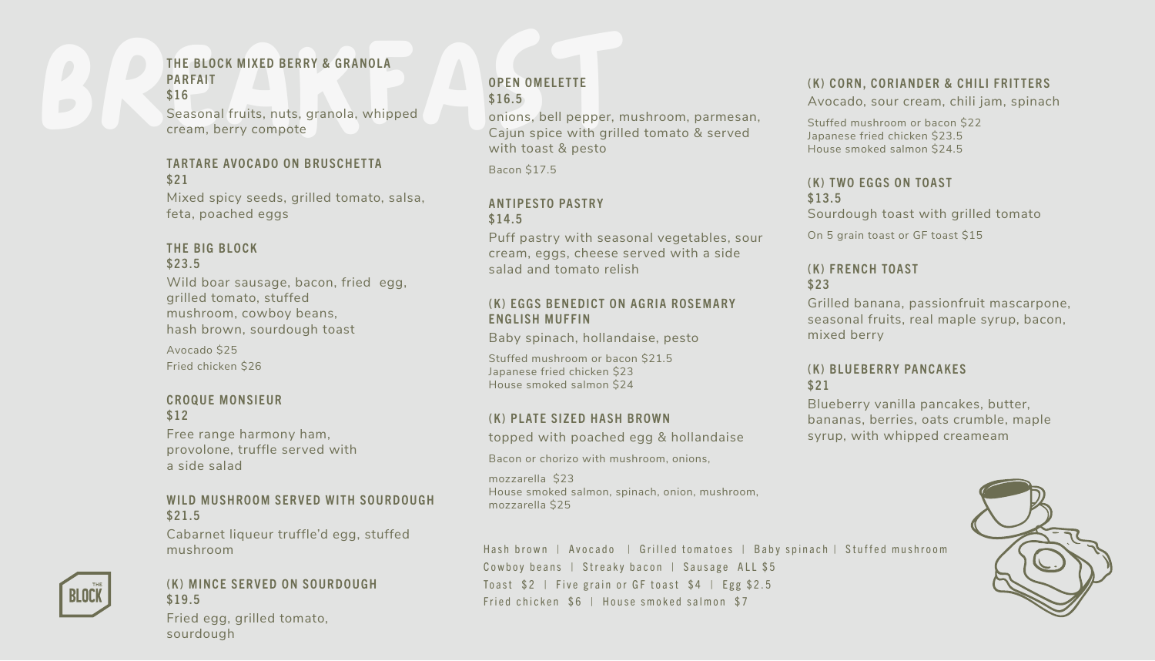# THE BLOCK MIXED BERRY & GRANOLA<br>
PARFAIT<br>
\$16<br>
Seasonal fruits, nuts, granola, whipped<br>
cream, berry compote<br>
TARTARE AVOCADO ON BRUSCHETTA<br>
TARTARE AVOCADO ON BRUSCHETTA<br>
Para Cajun spice with grills<br>
with toast & pesto PARFAIT \$16

Seasonal fruits, nuts, granola, whipped cream, berry compote

#### TARTARE AVOCADO ON BRUSCHETTA \$21

Mixed spicy seeds, grilled tomato, salsa, feta, poached eggs

# THE BIG BLOCK \$23.5

Wild boar sausage, bacon, fried egg, grilled tomato, stuffed mushroom, cowboy beans, hash brown, sourdough toast

Avocado \$25 Fried chicken \$26

#### CROQUE MONSIEUR \$12

Free range harmony ham, provolone, truffle served with a side salad

# WILD MUSHROOM SERVED WITH SOURDOUGH \$21.5

Cabarnet liqueur truffle'd egg, stuffed mushroom



# (K) MINCE SERVED ON SOURDOUGH \$19.5

Fried egg, grilled tomato, sourdough

# OPEN OMELETTE \$16.5

onions, bell pepper, mushroom, parmesan, Cajun spice with grilled tomato & served with toast & pesto

Bacon \$17.5

# ANTIPESTO PASTRY \$14.5

Puff pastry with seasonal vegetables, sour cream, eggs, cheese served with a side salad and tomato relish

# (K) FGGS BENEDICT ON AGRIA ROSEMARY ENGLISH MUFFIN

Baby spinach, hollandaise, pesto

Stuffed mushroom or bacon \$21.5 Japanese fried chicken \$23 House smoked salmon \$24

# (K) PLATE SIZED HASH BROWN

topped with poached egg & hollandaise

Bacon or chorizo with mushroom, onions,

mozzarella \$23 House smoked salmon, spinach, onion, mushroom, mozzarella \$25

# Hash brown | Avocado | Grilled tomatoes | Baby spinach | Stuffed mushroom Cowboy beans | Streaky bacon | Sausage ALL \$5 To ast  $$2$  | Five grain or GF to ast  $$4$  | Egg  $$2.5$ Fried chicken \$6 | House smoked salmon \$7

#### (K) CORN, CORIANDER & CHILI FRITTERS

Avocado, sour cream, chili jam, spinach

Stuffed mushroom or bacon \$22 Japanese fried chicken \$23.5 House smoked salmon \$24.5

#### (K) TWO EGGS ON TOAST \$13.5 Sourdough toast with grilled tomato

On 5 grain toast or GF toast \$15

# (K) FRENCH TOAST \$23

Grilled banana, passionfruit mascarpone, seasonal fruits, real maple syrup, bacon, mixed berry

# (K) BLUEBERRY PANCAKES \$21

Blueberry vanilla pancakes, butter, bananas, berries, oats crumble, maple syrup, with whipped creameam